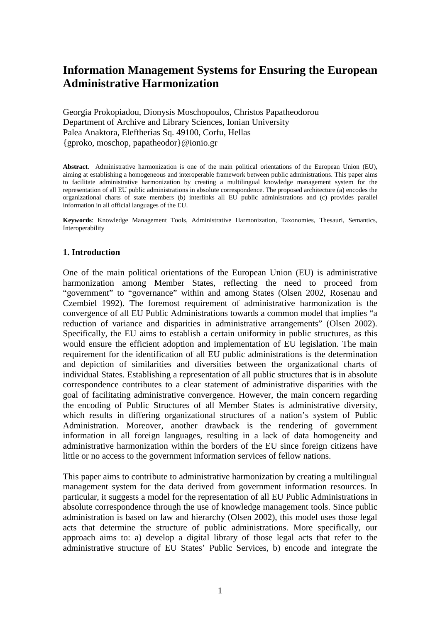# **Information Management Systems for Ensuring the European Administrative Harmonization**

Georgia Prokopiadou, Dionysis Moschopoulos, Christos Papatheodorou Department of Archive and Library Sciences, Ionian University Palea Anaktora, Eleftherias Sq. 49100, Corfu, Hellas {gproko, moschop, papatheodor}@ionio.gr

**Abstract**. Administrative harmonization is one of the main political orientations of the European Union (EU), aiming at establishing a homogeneous and interoperable framework between public administrations. This paper aims to facilitate administrative harmonization by creating a multilingual knowledge management system for the representation of all EU public administrations in absolute correspondence. The proposed architecture (a) encodes the organizational charts of state members (b) interlinks all EU public administrations and (c) provides parallel information in all official languages of the EU.

**Keywords**: Knowledge Management Tools, Administrative Harmonization, Taxonomies, Thesauri, Semantics, Interoperability

#### **1. Introduction**

One of the main political orientations of the European Union (EU) is administrative harmonization among Member States, reflecting the need to proceed from "government" to "governance" within and among States (Olsen 2002, Rosenau and Czembiel 1992). The foremost requirement of administrative harmonization is the convergence of all EU Public Administrations towards a common model that implies "a reduction of variance and disparities in administrative arrangements" (Olsen 2002). Specifically, the EU aims to establish a certain uniformity in public structures, as this would ensure the efficient adoption and implementation of EU legislation. The main requirement for the identification of all EU public administrations is the determination and depiction of similarities and diversities between the organizational charts of individual States. Establishing a representation of all public structures that is in absolute correspondence contributes to a clear statement of administrative disparities with the goal of facilitating administrative convergence. However, the main concern regarding the encoding of Public Structures of all Member States is administrative diversity, which results in differing organizational structures of a nation's system of Public Administration. Moreover, another drawback is the rendering of government information in all foreign languages, resulting in a lack of data homogeneity and administrative harmonization within the borders of the EU since foreign citizens have little or no access to the government information services of fellow nations.

This paper aims to contribute to administrative harmonization by creating a multilingual management system for the data derived from government information resources. In particular, it suggests a model for the representation of all EU Public Administrations in absolute correspondence through the use of knowledge management tools. Since public administration is based on law and hierarchy (Olsen 2002), this model uses those legal acts that determine the structure of public administrations. More specifically, our approach aims to: a) develop a digital library of those legal acts that refer to the administrative structure of EU States' Public Services, b) encode and integrate the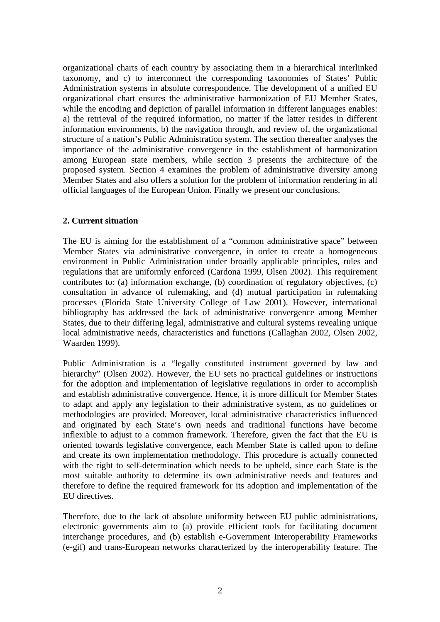organizational charts of each country by associating them in a hierarchical interlinked taxonomy, and c) to interconnect the corresponding taxonomies of States' Public Administration systems in absolute correspondence. The development of a unified EU organizational chart ensures the administrative harmonization of EU Member States, while the encoding and depiction of parallel information in different languages enables: a) the retrieval of the required information, no matter if the latter resides in different information environments, b) the navigation through, and review of, the organizational structure of a nation's Public Administration system. The section thereafter analyses the importance of the administrative convergence in the establishment of harmonization among European state members, while section 3 presents the architecture of the proposed system. Section 4 examines the problem of administrative diversity among Member States and also offers a solution for the problem of information rendering in all official languages of the European Union. Finally we present our conclusions.

## **2. Current situation**

The EU is aiming for the establishment of a "common administrative space" between Member States via administrative convergence, in order to create a homogeneous environment in Public Administration under broadly applicable principles, rules and regulations that are uniformly enforced (Cardona 1999, Olsen 2002). This requirement contributes to: (a) information exchange, (b) coordination of regulatory objectives, (c) consultation in advance of rulemaking, and (d) mutual participation in rulemaking processes (Florida State University College of Law 2001). However, international bibliography has addressed the lack of administrative convergence among Member States, due to their differing legal, administrative and cultural systems revealing unique local administrative needs, characteristics and functions (Callaghan 2002, Olsen 2002, Waarden 1999).

Public Administration is a "legally constituted instrument governed by law and hierarchy" (Olsen 2002). However, the EU sets no practical guidelines or instructions for the adoption and implementation of legislative regulations in order to accomplish and establish administrative convergence. Hence, it is more difficult for Member States to adapt and apply any legislation to their administrative system, as no guidelines or methodologies are provided. Moreover, local administrative characteristics influenced and originated by each State's own needs and traditional functions have become inflexible to adjust to a common framework. Therefore, given the fact that the EU is oriented towards legislative convergence, each Member State is called upon to define and create its own implementation methodology. This procedure is actually connected with the right to self-determination which needs to be upheld, since each State is the most suitable authority to determine its own administrative needs and features and therefore to define the required framework for its adoption and implementation of the EU directives.

Therefore, due to the lack of absolute uniformity between EU public administrations, electronic governments aim to (a) provide efficient tools for facilitating document interchange procedures, and (b) establish e-Government Interoperability Frameworks (e-gif) and trans-European networks characterized by the interoperability feature. The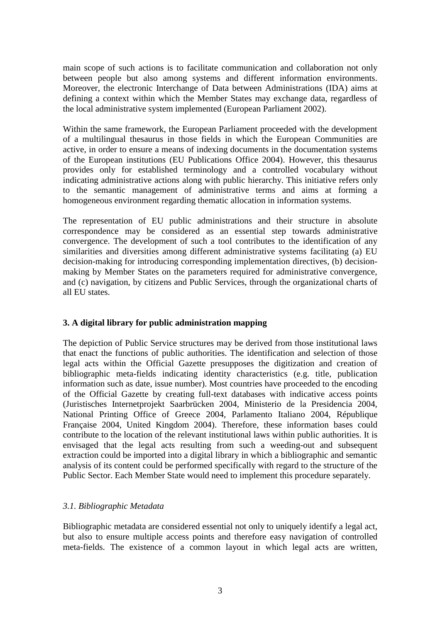main scope of such actions is to facilitate communication and collaboration not only between people but also among systems and different information environments. Moreover, the electronic Interchange of Data between Administrations (IDA) aims at defining a context within which the Member States may exchange data, regardless of the local administrative system implemented (European Parliament 2002).

Within the same framework, the European Parliament proceeded with the development of a multilingual thesaurus in those fields in which the European Communities are active, in order to ensure a means of indexing documents in the documentation systems of the European institutions (EU Publications Office 2004). However, this thesaurus provides only for established terminology and a controlled vocabulary without indicating administrative actions along with public hierarchy. This initiative refers only to the semantic management of administrative terms and aims at forming a homogeneous environment regarding thematic allocation in information systems.

The representation of EU public administrations and their structure in absolute correspondence may be considered as an essential step towards administrative convergence. The development of such a tool contributes to the identification of any similarities and diversities among different administrative systems facilitating (a) EU decision-making for introducing corresponding implementation directives, (b) decisionmaking by Member States on the parameters required for administrative convergence, and (c) navigation, by citizens and Public Services, through the organizational charts of all EU states.

## **3. A digital library for public administration mapping**

The depiction of Public Service structures may be derived from those institutional laws that enact the functions of public authorities. The identification and selection of those legal acts within the Official Gazette presupposes the digitization and creation of bibliographic meta-fields indicating identity characteristics (e.g. title, publication information such as date, issue number). Most countries have proceeded to the encoding of the Official Gazette by creating full-text databases with indicative access points (Juristisches Internetprojekt Saarbrücken 2004, Ministerio de la Presidencia 2004, National Printing Office of Greece 2004, Parlamento Italiano 2004, République Française 2004, United Kingdom 2004). Therefore, these information bases could contribute to the location of the relevant institutional laws within public authorities. It is envisaged that the legal acts resulting from such a weeding-out and subsequent extraction could be imported into a digital library in which a bibliographic and semantic analysis of its content could be performed specifically with regard to the structure of the Public Sector. Each Member State would need to implement this procedure separately.

## *3.1. Bibliographic Metadata*

Bibliographic metadata are considered essential not only to uniquely identify a legal act, but also to ensure multiple access points and therefore easy navigation of controlled meta-fields. The existence of a common layout in which legal acts are written,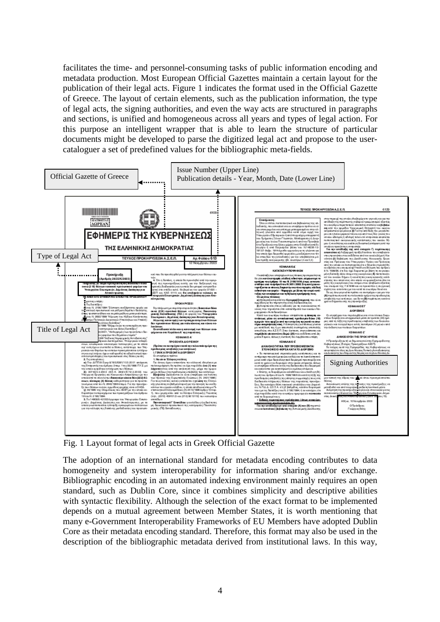facilitates the time- and personnel-consuming tasks of public information encoding and metadata production. Most European Official Gazettes maintain a certain layout for the publication of their legal acts. Figure 1 indicates the format used in the Official Gazette of Greece. The layout of certain elements, such as the publication information, the type of legal acts, the signing authorities, and even the way acts are structured in paragraphs and sections, is unified and homogeneous across all years and types of legal action. For this purpose an intelligent wrapper that is able to learn the structure of particular documents might be developed to parse the digitized legal act and propose to the usercataloguer a set of predefined values for the bibliographic meta-fields.



Fig. 1 Layout format of legal acts in Greek Official Gazette

The adoption of an international standard for metadata encoding contributes to data homogeneity and system interoperability for information sharing and/or exchange. Bibliographic encoding in an automated indexing environment mainly requires an open standard, such as Dublin Core, since it combines simplicity and descriptive abilities with syntactic flexibility. Although the selection of the exact format to be implemented depends on a mutual agreement between Member States, it is worth mentioning that many e-Government Interoperability Frameworks of EU Members have adopted Dublin Core as their metadata encoding standard. Therefore, this format may also be used in the description of the bibliographic metadata derived from institutional laws. In this way,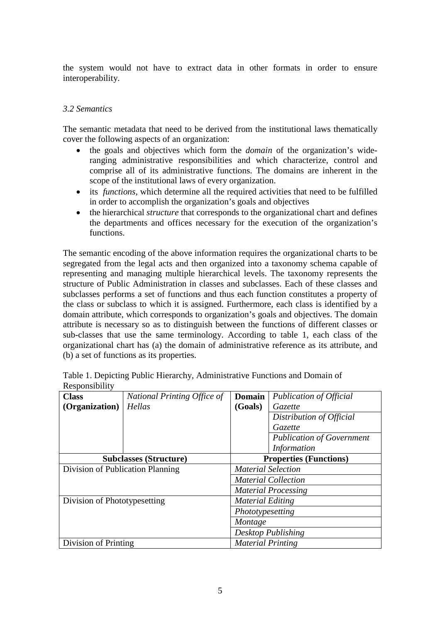the system would not have to extract data in other formats in order to ensure interoperability.

## *3.2 Semantics*

The semantic metadata that need to be derived from the institutional laws thematically cover the following aspects of an organization:

- the goals and objectives which form the *domain* of the organization's wideranging administrative responsibilities and which characterize, control and comprise all of its administrative functions. The domains are inherent in the scope of the institutional laws of every organization.
- its *functions*, which determine all the required activities that need to be fulfilled in order to accomplish the organization's goals and objectives
- the hierarchical *structure* that corresponds to the organizational chart and defines the departments and offices necessary for the execution of the organization's functions.

The semantic encoding of the above information requires the organizational charts to be segregated from the legal acts and then organized into a taxonomy schema capable of representing and managing multiple hierarchical levels. The taxonomy represents the structure of Public Administration in classes and subclasses. Each of these classes and subclasses performs a set of functions and thus each function constitutes a property of the class or subclass to which it is assigned. Furthermore, each class is identified by a domain attribute, which corresponds to organization's goals and objectives. The domain attribute is necessary so as to distinguish between the functions of different classes or sub-classes that use the same terminology. According to table 1, each class of the organizational chart has (a) the domain of administrative reference as its attribute, and (b) a set of functions as its properties.

|                | Table 1. Depicting Public Hierarchy, Administrative Functions and Domain of |
|----------------|-----------------------------------------------------------------------------|
| Responsibility |                                                                             |

| <b>Class</b>                     | National Printing Office of                                    | <b>Domain</b>             | <b>Publication of Official</b>   |
|----------------------------------|----------------------------------------------------------------|---------------------------|----------------------------------|
| (Organization)                   | Hellas                                                         | (Goals)                   | <i>Gazette</i>                   |
|                                  |                                                                |                           | Distribution of Official         |
|                                  |                                                                |                           | <i>Gazette</i>                   |
|                                  |                                                                |                           | <b>Publication of Government</b> |
|                                  |                                                                |                           | <i>Information</i>               |
|                                  | <b>Properties (Functions)</b><br><b>Subclasses (Structure)</b> |                           |                                  |
| Division of Publication Planning |                                                                | <b>Material Selection</b> |                                  |
|                                  |                                                                |                           | <b>Material Collection</b>       |
|                                  |                                                                |                           | <b>Material Processing</b>       |
| Division of Phototypesetting     |                                                                | <b>Material Editing</b>   |                                  |
|                                  |                                                                | Phototypesetting          |                                  |
|                                  |                                                                | Montage                   |                                  |
|                                  |                                                                |                           | Desktop Publishing               |
| Division of Printing             |                                                                | <b>Material Printing</b>  |                                  |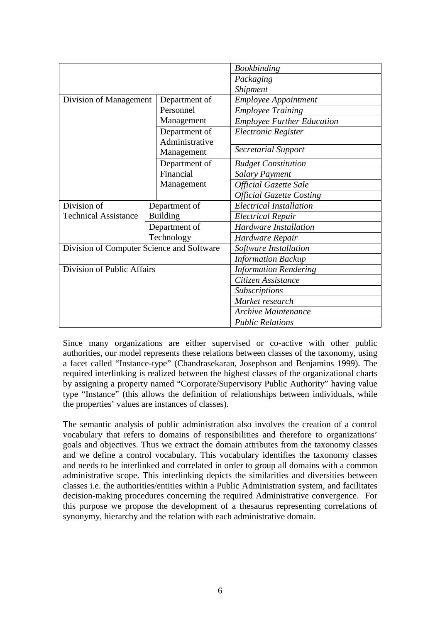|                                           |                 | <b>Bookbinding</b>                |  |
|-------------------------------------------|-----------------|-----------------------------------|--|
|                                           |                 | Packaging                         |  |
|                                           |                 | Shipment                          |  |
| Division of Management                    | Department of   | <b>Employee Appointment</b>       |  |
|                                           | Personnel       | <b>Employee Training</b>          |  |
|                                           | Management      | <b>Employee Further Education</b> |  |
|                                           | Department of   | Electronic Register               |  |
|                                           | Administrative  |                                   |  |
|                                           | Management      | <b>Secretarial Support</b>        |  |
|                                           | Department of   | <b>Budget Constitution</b>        |  |
|                                           | Financial       | <b>Salary Payment</b>             |  |
|                                           | Management      | <b>Official Gazette Sale</b>      |  |
|                                           |                 | <b>Official Gazette Costing</b>   |  |
| Division of                               | Department of   | <b>Electrical Installation</b>    |  |
| <b>Technical Assistance</b>               | <b>Building</b> | <b>Electrical Repair</b>          |  |
|                                           | Department of   | <b>Hardware Installation</b>      |  |
|                                           | Technology      | Hardware Repair                   |  |
| Division of Computer Science and Software |                 | Software Installation             |  |
|                                           |                 | <b>Information Backup</b>         |  |
| Division of Public Affairs                |                 | <b>Information Rendering</b>      |  |
|                                           |                 | Citizen Assistance                |  |
|                                           |                 | Subscriptions                     |  |
|                                           |                 | Market research                   |  |
|                                           |                 | Archive Maintenance               |  |
|                                           |                 | <b>Public Relations</b>           |  |

Since many organizations are either supervised or co-active with other public authorities, our model represents these relations between classes of the taxonomy, using a facet called "Instance-type" (Chandrasekaran, Josephson and Benjamins 1999). The required interlinking is realized between the highest classes of the organizational charts by assigning a property named "Corporate/Supervisory Public Authority" having value type "Instance" (this allows the definition of relationships between individuals, while the properties' values are instances of classes).

The semantic analysis of public administration also involves the creation of a control vocabulary that refers to domains of responsibilities and therefore to organizations' goals and objectives. Thus we extract the domain attributes from the taxonomy classes and we define a control vocabulary. This vocabulary identifies the taxonomy classes and needs to be interlinked and correlated in order to group all domains with a common administrative scope. This interlinking depicts the similarities and diversities between classes i.e. the authorities/entities within a Public Administration system, and facilitates decision-making procedures concerning the required Administrative convergence. For this purpose we propose the development of a thesaurus representing correlations of synonymy, hierarchy and the relation with each administrative domain.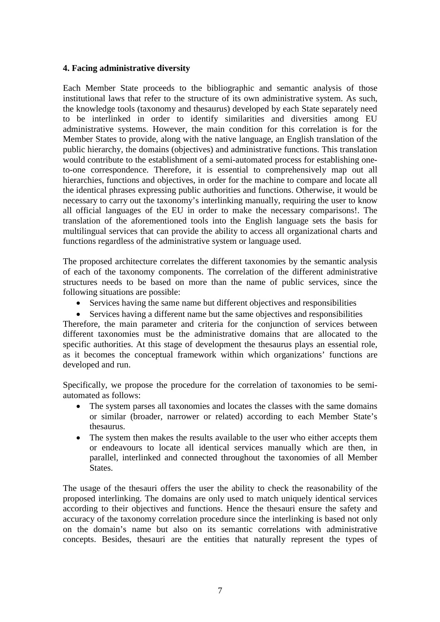#### **4. Facing administrative diversity**

Each Member State proceeds to the bibliographic and semantic analysis of those institutional laws that refer to the structure of its own administrative system. As such, the knowledge tools (taxonomy and thesaurus) developed by each State separately need to be interlinked in order to identify similarities and diversities among EU administrative systems. However, the main condition for this correlation is for the Member States to provide, along with the native language, an English translation of the public hierarchy, the domains (objectives) and administrative functions. This translation would contribute to the establishment of a semi-automated process for establishing oneto-one correspondence. Therefore, it is essential to comprehensively map out all hierarchies, functions and objectives, in order for the machine to compare and locate all the identical phrases expressing public authorities and functions. Otherwise, it would be necessary to carry out the taxonomy's interlinking manually, requiring the user to know all official languages of the EU in order to make the necessary comparisons!. The translation of the aforementioned tools into the English language sets the basis for multilingual services that can provide the ability to access all organizational charts and functions regardless of the administrative system or language used.

The proposed architecture correlates the different taxonomies by the semantic analysis of each of the taxonomy components. The correlation of the different administrative structures needs to be based on more than the name of public services, since the following situations are possible:

- Services having the same name but different objectives and responsibilities
- Services having a different name but the same objectives and responsibilities

Therefore, the main parameter and criteria for the conjunction of services between different taxonomies must be the administrative domains that are allocated to the specific authorities. At this stage of development the thesaurus plays an essential role, as it becomes the conceptual framework within which organizations' functions are developed and run.

Specifically, we propose the procedure for the correlation of taxonomies to be semiautomated as follows:

- The system parses all taxonomies and locates the classes with the same domains or similar (broader, narrower or related) according to each Member State's thesaurus.
- The system then makes the results available to the user who either accepts them or endeavours to locate all identical services manually which are then, in parallel, interlinked and connected throughout the taxonomies of all Member States.

The usage of the thesauri offers the user the ability to check the reasonability of the proposed interlinking. The domains are only used to match uniquely identical services according to their objectives and functions. Hence the thesauri ensure the safety and accuracy of the taxonomy correlation procedure since the interlinking is based not only on the domain's name but also on its semantic correlations with administrative concepts. Besides, thesauri are the entities that naturally represent the types of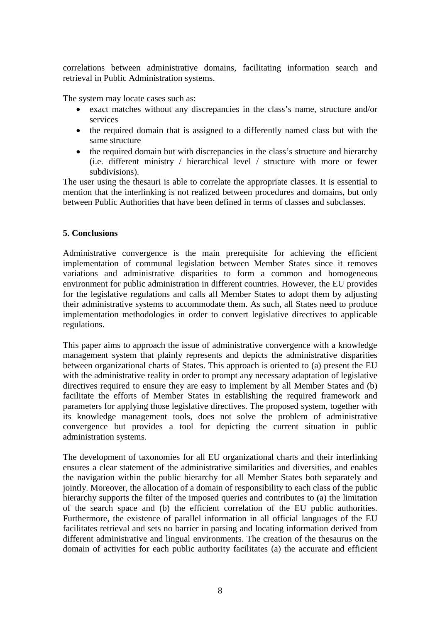correlations between administrative domains, facilitating information search and retrieval in Public Administration systems.

The system may locate cases such as:

- exact matches without any discrepancies in the class's name, structure and/or services
- the required domain that is assigned to a differently named class but with the same structure
- the required domain but with discrepancies in the class's structure and hierarchy (i.e. different ministry / hierarchical level / structure with more or fewer subdivisions).

The user using the thesauri is able to correlate the appropriate classes. It is essential to mention that the interlinking is not realized between procedures and domains, but only between Public Authorities that have been defined in terms of classes and subclasses.

## **5. Conclusions**

Administrative convergence is the main prerequisite for achieving the efficient implementation of communal legislation between Member States since it removes variations and administrative disparities to form a common and homogeneous environment for public administration in different countries. However, the EU provides for the legislative regulations and calls all Member States to adopt them by adjusting their administrative systems to accommodate them. As such, all States need to produce implementation methodologies in order to convert legislative directives to applicable regulations.

This paper aims to approach the issue of administrative convergence with a knowledge management system that plainly represents and depicts the administrative disparities between organizational charts of States. This approach is oriented to (a) present the EU with the administrative reality in order to prompt any necessary adaptation of legislative directives required to ensure they are easy to implement by all Member States and (b) facilitate the efforts of Member States in establishing the required framework and parameters for applying those legislative directives. The proposed system, together with its knowledge management tools, does not solve the problem of administrative convergence but provides a tool for depicting the current situation in public administration systems.

The development of taxonomies for all EU organizational charts and their interlinking ensures a clear statement of the administrative similarities and diversities, and enables the navigation within the public hierarchy for all Member States both separately and jointly. Moreover, the allocation of a domain of responsibility to each class of the public hierarchy supports the filter of the imposed queries and contributes to (a) the limitation of the search space and (b) the efficient correlation of the EU public authorities. Furthermore, the existence of parallel information in all official languages of the EU facilitates retrieval and sets no barrier in parsing and locating information derived from different administrative and lingual environments. The creation of the thesaurus on the domain of activities for each public authority facilitates (a) the accurate and efficient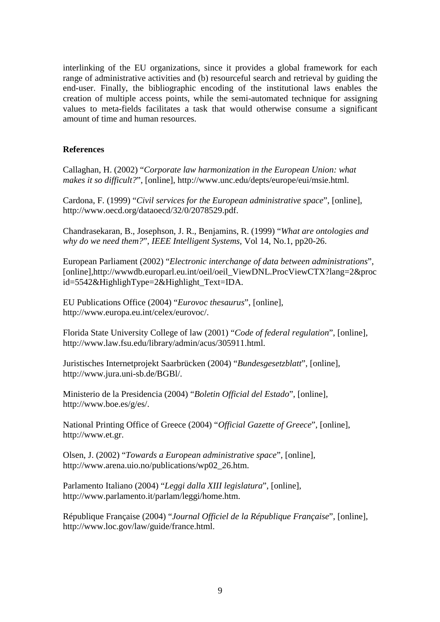interlinking of the EU organizations, since it provides a global framework for each range of administrative activities and (b) resourceful search and retrieval by guiding the end-user. Finally, the bibliographic encoding of the institutional laws enables the creation of multiple access points, while the semi-automated technique for assigning values to meta-fields facilitates a task that would otherwise consume a significant amount of time and human resources.

## **References**

Callaghan, H. (2002) "*Corporate law harmonization in the European Union: what makes it so difficult?*", [online], http://www.unc.edu/depts/europe/eui/msie.html.

Cardona, F. (1999) "*Civil services for the European administrative space*", [online], http://www.oecd.org/dataoecd/32/0/2078529.pdf.

Chandrasekaran, B., Josephson, J. R., Benjamins, R. (1999) "*What are ontologies and why do we need them?*", *IEEE Intelligent Systems*, Vol 14, No.1, pp20-26.

European Parliament (2002) "*Electronic interchange of data between administrations*", [online],http://wwwdb.europarl.eu.int/oeil/oeil\_ViewDNL.ProcViewCTX?lang=2&proc  $id = 5542 \& HighlightType = 2 \& Highlight Text = IDA.$ 

EU Publications Office (2004) "*Eurovoc thesaurus*", [online], http://www.europa.eu.int/celex/eurovoc/.

Florida State University College of law (2001) "*Code of federal regulation*", [online], http://www.law.fsu.edu/library/admin/acus/305911.html.

Juristisches Internetprojekt Saarbrücken (2004) "*Bundesgesetzblatt*", [online], http://www.jura.uni-sb.de/BGBl/.

Ministerio de la Presidencia (2004) "*Boletin Official del Estado*", [online], http://www.boe.es/g/es/.

National Printing Office of Greece (2004) "*Official Gazette of Greece*", [online], http://www.et.gr.

Olsen, J. (2002) "*Towards a European administrative space*", [online], http://www.arena.uio.no/publications/wp02\_26.htm.

Parlamento Italiano (2004) "*Leggi dalla XIII legislatura*", [online], http://www.parlamento.it/parlam/leggi/home.htm.

République Française (2004) "*Journal Officiel de la République Française*", [online], http://www.loc.gov/law/guide/france.html.